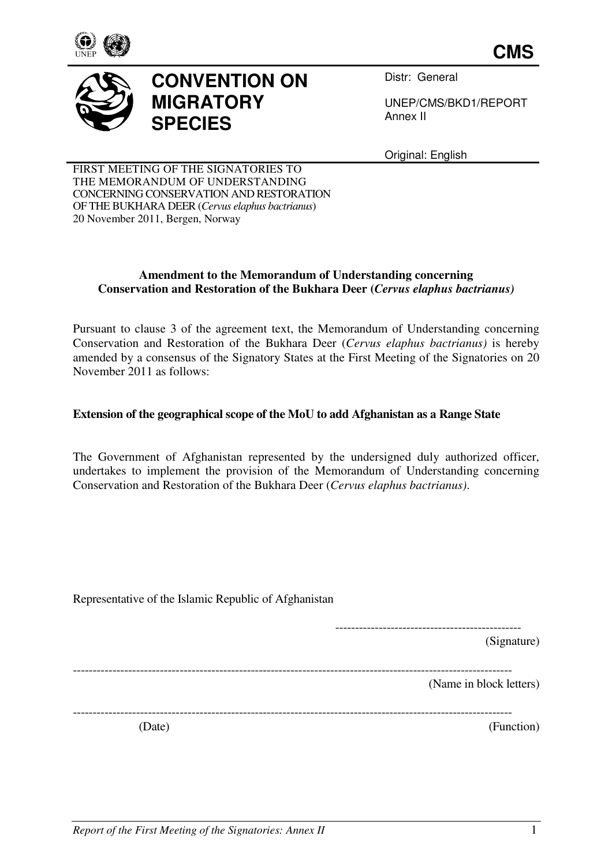

**CMS**



## **CONVENTION ON MIGRATORY SPECIES**

Distr: General

UNEP/CMS/BKD1/REPORT Annex II

Original: English

FIRST MEETING OF THE SIGNATORIES TO THE MEMORANDUM OF UNDERSTANDING CONCERNING CONSERVATION AND RESTORATION OF THE BUKHARA DEER (*Cervus elaphus bactrianus*) 20 November 2011, Bergen, Norway

## **Amendment to the Memorandum of Understanding concerning Conservation and Restoration of the Bukhara Deer (***Cervus elaphus bactrianus)*

Pursuant to clause 3 of the agreement text, the Memorandum of Understanding concerning Conservation and Restoration of the Bukhara Deer (*Cervus elaphus bactrianus)* is hereby amended by a consensus of the Signatory States at the First Meeting of the Signatories on 20 November 2011 as follows:

## **Extension of the geographical scope of the MoU to add Afghanistan as a Range State**

The Government of Afghanistan represented by the undersigned duly authorized officer, undertakes to implement the provision of the Memorandum of Understanding concerning Conservation and Restoration of the Bukhara Deer (*Cervus elaphus bactrianus)*.

| Representative of the Islamic Republic of Afghanistan |                         |
|-------------------------------------------------------|-------------------------|
|                                                       | (Signature)             |
|                                                       | (Name in block letters) |
| (Date)                                                | (Function)              |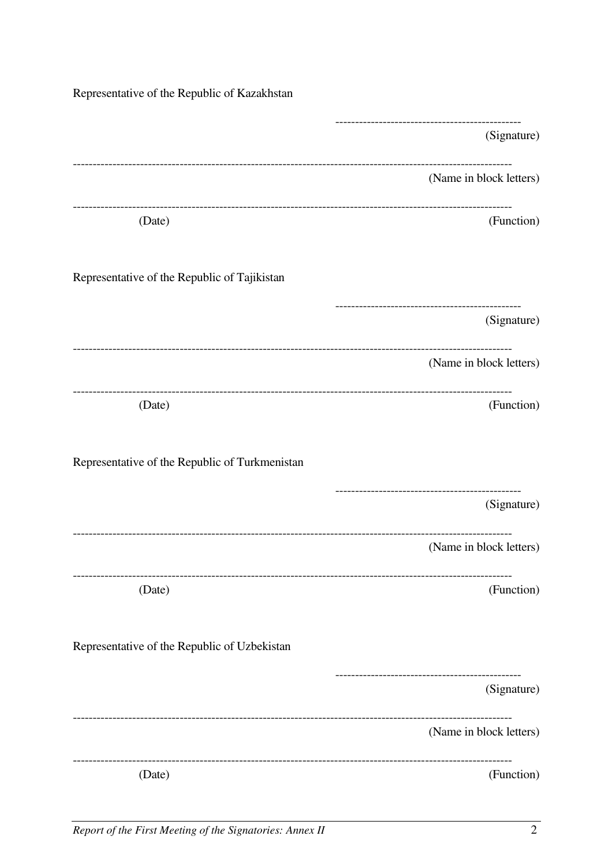| Representative of the Republic of Kazakhstan   |                                            |
|------------------------------------------------|--------------------------------------------|
|                                                | (Signature)                                |
|                                                | (Name in block letters)                    |
| (Date)                                         | (Function)                                 |
| Representative of the Republic of Tajikistan   |                                            |
|                                                | (Signature)                                |
|                                                | (Name in block letters)                    |
| (Date)                                         | (Function)                                 |
| Representative of the Republic of Turkmenistan |                                            |
|                                                | (Signature)                                |
|                                                | (Name in block letters)                    |
| (Date)                                         | (Function)                                 |
| Representative of the Republic of Uzbekistan   |                                            |
|                                                | ---------------------------<br>(Signature) |
|                                                | (Name in block letters)                    |
| (Date)                                         | (Function)                                 |